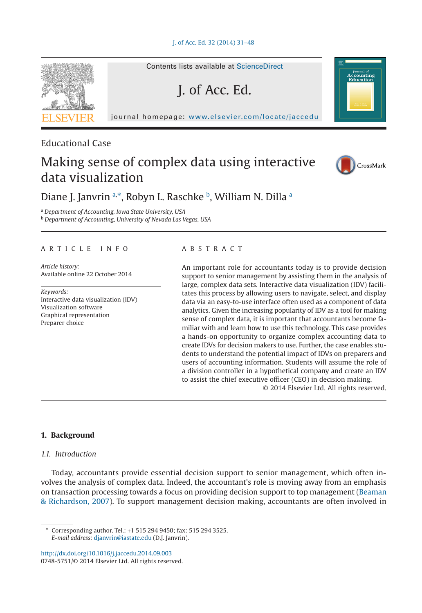#### J. of Acc. Ed. 32 (2014) 31–48



# Educational Case

# Making sense of complex data using interactive data visualization



# Diane J. Janvrin a.[\\*,](#page-0-1) Ro[b](#page-0-2)yn L. R[a](#page-0-0)schke b, William N. Dilla a

<span id="page-0-2"></span><span id="page-0-0"></span><sup>a</sup> *Department of Accounting, Iowa State University, USA* <sup>b</sup> *Department of Accounting, University of Nevada Las Vegas, USA*

## ARTICLE INFO

*Article history:* Available online 22 October 2014

*Keywords:* Interactive data visualization (IDV) Visualization software Graphical representation Preparer choice

#### ABSTRACT

An important role for accountants today is to provide decision support to senior management by assisting them in the analysis of large, complex data sets. Interactive data visualization (IDV) facilitates this process by allowing users to navigate, select, and display data via an easy-to-use interface often used as a component of data analytics. Given the increasing popularity of IDV as a tool for making sense of complex data, it is important that accountants become familiar with and learn how to use this technology. This case provides a hands-on opportunity to organize complex accounting data to create IDVs for decision makers to use. Further, the case enables students to understand the potential impact of IDVs on preparers and users of accounting information. Students will assume the role of a division controller in a hypothetical company and create an IDV to assist the chief executive officer (CEO) in decision making. © 2014 Elsevier Ltd. All rights reserved.

# **1. Background**

### *1.1. Introduction*

Today, accountants provide essential decision support to senior management, which often involves the analysis of complex data. Indeed, the accountant's role is moving away from an emphasis on transaction processing towards a focus on providing decision support to top management [\(Beaman](#page-16-0) & [Richardson, 2007\)](#page-16-0). To support management decision making, accountants are often involved in

<span id="page-0-1"></span>Corresponding author. Tel.: +1 515 294 9450; fax: 515 294 3525. *E-mail address:* [djanvrin@iastate.edu](mailto:djanvrin@iastate.edu) (D.J. Janvrin).

http://dx.doi.org/10.1016/j.jaccedu.2014.09.003 0748-5751/© 2014 Elsevier Ltd. All rights reserved.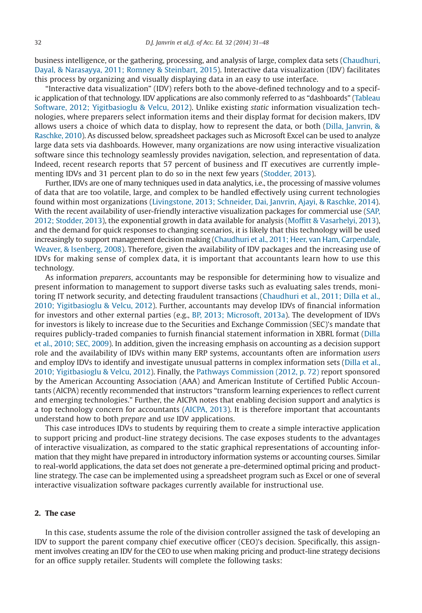business intelligence, or the gathering, processing, and analysis of large, complex data sets [\(Chaudhuri,](#page-16-1) [Dayal, & Narasayya, 2011; Romney & Steinbart, 2015\)](#page-16-1). Interactive data visualization (IDV) facilitates this process by organizing and visually displaying data in an easy to use interface.

"Interactive data visualization" (IDV) refers both to the above-defined technology and to a specific application of that technology. IDV applications are also commonly referred to as "dashboards" [\(Tableau](#page-17-0) [Software, 2012; Yigitbasioglu & Velcu, 2012\)](#page-17-0). Unlike existing *static* information visualization technologies, where preparers select information items and their display format for decision makers, IDV allows users a choice of which data to display, how to represent the data, or both [\(Dilla, Janvrin, &](#page-16-2) [Raschke, 2010\)](#page-16-2). As discussed below, spreadsheet packages such as Microsoft Excel can be used to analyze large data sets via dashboards. However, many organizations are now using interactive visualization software since this technology seamlessly provides navigation, selection, and representation of data. Indeed, recent research reports that 57 percent of business and IT executives are currently implementing IDVs and 31 percent plan to do so in the next few years [\(Stodder, 2013\)](#page-17-1).

Further, IDVs are one of many techniques used in data analytics, i.e., the processing of massive volumes of data that are too volatile, large, and complex to be handled effectively using current technologies found within most organizations [\(Livingstone, 2013; Schneider, Dai, Janvrin, Ajayi, & Raschke, 2014\)](#page-17-2). With the recent availability of user-friendly interactive visualization packages for commercial use [\(SAP,](#page-17-3) [2012; Stodder, 2013\)](#page-17-3), the exponential growth in data available for analysis [\(Moffitt & Vasarhelyi, 2013\)](#page-17-4), and the demand for quick responses to changing scenarios, it is likely that this technology will be used increasingly to support management decision making [\(Chaudhuri et al., 2011; Heer, van Ham, Carpendale,](#page-16-1) [Weaver, & Isenberg, 2008\)](#page-16-1). Therefore, given the availability of IDV packages and the increasing use of IDVs for making sense of complex data, it is important that accountants learn how to use this technology.

As information *preparers*, accountants may be responsible for determining how to visualize and present information to management to support diverse tasks such as evaluating sales trends, monitoring IT network security, and detecting fraudulent transactions [\(Chaudhuri et al., 2011; Dilla et al.,](#page-16-1) [2010; Yigitbasioglu & Velcu, 2012\)](#page-16-1). Further, accountants may develop IDVs of financial information for investors and other external parties (e.g., [BP, 2013; Microsoft, 2013a\)](#page-16-3). The development of IDVs for investors is likely to increase due to the Securities and Exchange Commission (SEC)'s mandate that requires publicly-traded companies to furnish financial statement information in XBRL format [\(Dilla](#page-16-2) [et al., 2010; SEC, 2009\)](#page-16-2). In addition, given the increasing emphasis on accounting as a decision support role and the availability of IDVs within many ERP systems, accountants often are information *users* and employ IDVs to identify and investigate unusual patterns in complex information sets [\(Dilla et al.,](#page-16-2) [2010; Yigitbasioglu & Velcu, 2012\)](#page-16-2). Finally, the [Pathways Commission \(2012, p. 72\)](#page-17-5) report sponsored by the American Accounting Association (AAA) and American Institute of Certified Public Accountants (AICPA) recently recommended that instructors "transform learning experiences to reflect current and emerging technologies." Further, the AICPA notes that enabling decision support and analytics is a top technology concern for accountants [\(AICPA, 2013\)](#page-16-4). It is therefore important that accountants understand how to both *prepare* and *use* IDV applications.

This case introduces IDVs to students by requiring them to create a simple interactive application to support pricing and product-line strategy decisions. The case exposes students to the advantages of interactive visualization, as compared to the static graphical representations of accounting information that they might have prepared in introductory information systems or accounting courses. Similar to real-world applications, the data set does not generate a pre-determined optimal pricing and productline strategy. The case can be implemented using a spreadsheet program such as Excel or one of several interactive visualization software packages currently available for instructional use.

# **2. The case**

In this case, students assume the role of the division controller assigned the task of developing an IDV to support the parent company chief executive officer (CEO)'s decision. Specifically, this assignment involves creating an IDV for the CEO to use when making pricing and product-line strategy decisions for an office supply retailer. Students will complete the following tasks: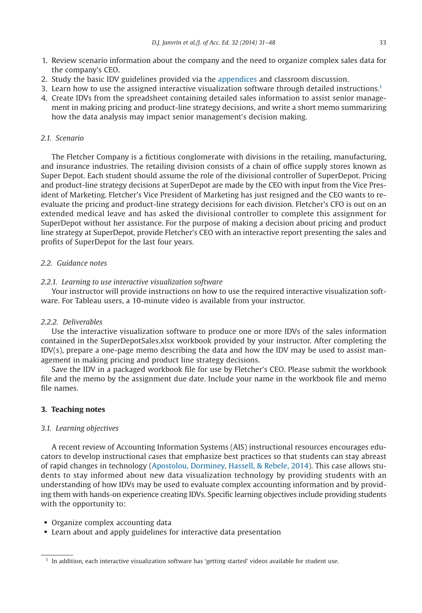- 1. Review scenario information about the company and the need to organize complex sales data for the company's CEO.
- 2. Study the basic IDV guidelines provided via the appendices and classroom discussion.
- 3. Learn how to use the assigned interactive visualization software through detailed instructions[.1](#page-2-0)
- 4. Create IDVs from the spreadsheet containing detailed sales information to assist senior management in making pricing and product-line strategy decisions, and write a short memo summarizing how the data analysis may impact senior management's decision making.

# *2.1. Scenario*

The Fletcher Company is a fictitious conglomerate with divisions in the retailing, manufacturing, and insurance industries. The retailing division consists of a chain of office supply stores known as Super Depot. Each student should assume the role of the divisional controller of SuperDepot. Pricing and product-line strategy decisions at SuperDepot are made by the CEO with input from the Vice President of Marketing. Fletcher's Vice President of Marketing has just resigned and the CEO wants to reevaluate the pricing and product-line strategy decisions for each division. Fletcher's CFO is out on an extended medical leave and has asked the divisional controller to complete this assignment for SuperDepot without her assistance. For the purpose of making a decision about pricing and product line strategy at SuperDepot, provide Fletcher's CEO with an interactive report presenting the sales and profits of SuperDepot for the last four years.

# *2.2. Guidance notes*

# *2.2.1. Learning to use interactive visualization software*

Your instructor will provide instructions on how to use the required interactive visualization software. For Tableau users, a 10-minute video is available from your instructor.

# *2.2.2. Deliverables*

Use the interactive visualization software to produce one or more IDVs of the sales information contained in the SuperDepotSales.xlsx workbook provided by your instructor. After completing the IDV(s), prepare a one-page memo describing the data and how the IDV may be used to assist management in making pricing and product line strategy decisions.

Save the IDV in a packaged workbook file for use by Fletcher's CEO. Please submit the workbook file and the memo by the assignment due date. Include your name in the workbook file and memo file names.

# **3. Teaching notes**

# *3.1. Learning objectives*

A recent review of Accounting Information Systems (AIS) instructional resources encourages educators to develop instructional cases that emphasize best practices so that students can stay abreast of rapid changes in technology [\(Apostolou, Dorminey, Hassell, & Rebele, 2014\)](#page-16-5). This case allows students to stay informed about new data visualization technology by providing students with an understanding of how IDVs may be used to evaluate complex accounting information and by providing them with hands-on experience creating IDVs. Specific learning objectives include providing students with the opportunity to:

• Organize complex accounting data

• Learn about and apply guidelines for interactive data presentation

<span id="page-2-0"></span><sup>1</sup> In addition, each interactive visualization software has 'getting started' videos available for student use.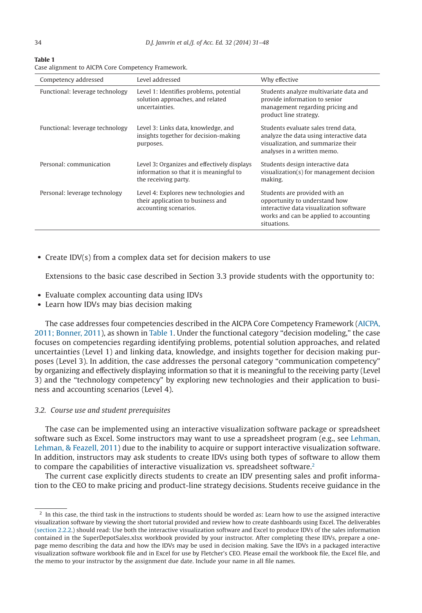| <b>Table 1</b>                                     |  |
|----------------------------------------------------|--|
| Case alignment to AICPA Core Competency Framework. |  |

| Competency addressed            | Level addressed                                                                                                | Why effective                                                                                                                                                      |
|---------------------------------|----------------------------------------------------------------------------------------------------------------|--------------------------------------------------------------------------------------------------------------------------------------------------------------------|
| Functional: leverage technology | Level 1: Identifies problems, potential<br>solution approaches, and related<br>uncertainties.                  | Students analyze multivariate data and<br>provide information to senior<br>management regarding pricing and<br>product line strategy.                              |
| Functional: leverage technology | Level 3: Links data, knowledge, and<br>insights together for decision-making<br>purposes.                      | Students evaluate sales trend data.<br>analyze the data using interactive data<br>visualization, and summarize their<br>analyses in a written memo.                |
| Personal: communication         | Level 3: Organizes and effectively displays<br>information so that it is meaningful to<br>the receiving party. | Students design interactive data<br>visualization(s) for management decision<br>making.                                                                            |
| Personal: leverage technology   | Level 4: Explores new technologies and<br>their application to business and<br>accounting scenarios.           | Students are provided with an<br>opportunity to understand how<br>interactive data visualization software<br>works and can be applied to accounting<br>situations. |

• Create IDV(s) from a complex data set for decision makers to use

Extensions to the basic case described in Section 3.3 provide students with the opportunity to:

- Evaluate complex accounting data using IDVs
- Learn how IDVs may bias decision making

The case addresses four competencies described in the AICPA Core Competency Framework [\(AICPA,](#page-16-6) [2011; Bonner, 2011\)](#page-16-6), as shown in Table 1. Under the functional category "decision modeling," the case focuses on competencies regarding identifying problems, potential solution approaches, and related uncertainties (Level 1) and linking data, knowledge, and insights together for decision making purposes (Level 3). In addition, the case addresses the personal category "communication competency" by organizing and effectively displaying information so that it is meaningful to the receiving party (Level 3) and the "technology competency" by exploring new technologies and their application to business and accounting scenarios (Level 4).

#### *3.2. Course use and student prerequisites*

The case can be implemented using an interactive visualization software package or spreadsheet software such as Excel. Some instructors may want to use a spreadsheet program (e.g., see [Lehman,](#page-17-6) [Lehman, & Feazell, 2011\)](#page-17-6) due to the inability to acquire or support interactive visualization software. In addition, instructors may ask students to create IDVs using both types of software to allow them to compare the capabilities of interactive visualization vs. spreadsheet software.<sup>2</sup>

The current case explicitly directs students to create an IDV presenting sales and profit information to the CEO to make pricing and product-line strategy decisions. Students receive guidance in the

<span id="page-3-0"></span> $2$  In this case, the third task in the instructions to students should be worded as: Learn how to use the assigned interactive visualization software by viewing the short tutorial provided and review how to create dashboards using Excel. The deliverables (section 2.2.2.) should read: Use both the interactive visualization software and Excel to produce IDVs of the sales information contained in the SuperDepotSales.xlsx workbook provided by your instructor. After completing these IDVs, prepare a onepage memo describing the data and how the IDVs may be used in decision making. Save the IDVs in a packaged interactive visualization software workbook file and in Excel for use by Fletcher's CEO. Please email the workbook file, the Excel file, and the memo to your instructor by the assignment due date. Include your name in all file names.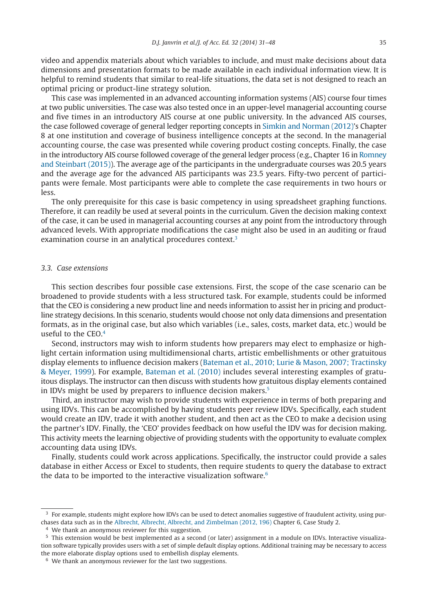video and appendix materials about which variables to include, and must make decisions about data dimensions and presentation formats to be made available in each individual information view. It is helpful to remind students that similar to real-life situations, the data set is not designed to reach an optimal pricing or product-line strategy solution.

This case was implemented in an advanced accounting information systems (AIS) course four times at two public universities. The case was also tested once in an upper-level managerial accounting course and five times in an introductory AIS course at one public university. In the advanced AIS courses, the case followed coverage of general ledger reporting concepts in [Simkin and Norman \(2012\)'](#page-17-7)s Chapter 8 at one institution and coverage of business intelligence concepts at the second. In the managerial accounting course, the case was presented while covering product costing concepts. Finally, the case in the introductory AIS course followed coverage of the general ledger process (e.g., Chapter 16 in [Romney](#page-17-8) [and Steinbart \(2015\)\)](#page-17-8). The average age of the participants in the undergraduate courses was 20.5 years and the average age for the advanced AIS participants was 23.5 years. Fifty-two percent of participants were female. Most participants were able to complete the case requirements in two hours or less.

The only prerequisite for this case is basic competency in using spreadsheet graphing functions. Therefore, it can readily be used at several points in the curriculum. Given the decision making context of the case, it can be used in managerial accounting courses at any point from the introductory through advanced levels. With appropriate modifications the case might also be used in an auditing or fraud examination course in an analytical procedures context.<sup>3</sup>

# *3.3. Case extensions*

This section describes four possible case extensions. First, the scope of the case scenario can be broadened to provide students with a less structured task. For example, students could be informed that the CEO is considering a new product line and needs information to assist her in pricing and productline strategy decisions. In this scenario, students would choose not only data dimensions and presentation formats, as in the original case, but also which variables (i.e., sales, costs, market data, etc.) would be useful to the CEO[.4](#page-4-1)

Second, instructors may wish to inform students how preparers may elect to emphasize or highlight certain information using multidimensional charts, artistic embellishments or other gratuitous display elements to influence decision makers [\(Bateman et al., 2010; Lurie & Mason, 2007; Tractinsky](#page-16-7) [& Meyer, 1999\)](#page-16-7). For example, [Bateman et al. \(2010\)](#page-16-7) includes several interesting examples of gratuitous displays. The instructor can then discuss with students how gratuitous display elements contained in IDVs might be used by preparers to influence decision makers.<sup>5</sup>

Third, an instructor may wish to provide students with experience in terms of both preparing and using IDVs. This can be accomplished by having students peer review IDVs. Specifically, each student would create an IDV, trade it with another student, and then act as the CEO to make a decision using the partner's IDV. Finally, the 'CEO' provides feedback on how useful the IDV was for decision making. This activity meets the learning objective of providing students with the opportunity to evaluate complex accounting data using IDVs.

Finally, students could work across applications. Specifically, the instructor could provide a sales database in either Access or Excel to students, then require students to query the database to extract the data to be imported to the interactive visualization software. $6$ 

<span id="page-4-0"></span><sup>&</sup>lt;sup>3</sup> For example, students might explore how IDVs can be used to detect anomalies suggestive of fraudulent activity, using purchases data such as in the [Albrecht, Albrecht, Albrecht, and Zimbelman \(2012, 196\)](#page-16-8) Chapter 6, Case Study 2.

<span id="page-4-2"></span><span id="page-4-1"></span><sup>&</sup>lt;sup>4</sup> We thank an anonymous reviewer for this suggestion.

<sup>5</sup> This extension would be best implemented as a second (or later) assignment in a module on IDVs. Interactive visualization software typically provides users with a set of simple default display options. Additional training may be necessary to access the more elaborate display options used to embellish display elements.

<span id="page-4-3"></span><sup>&</sup>lt;sup>6</sup> We thank an anonymous reviewer for the last two suggestions.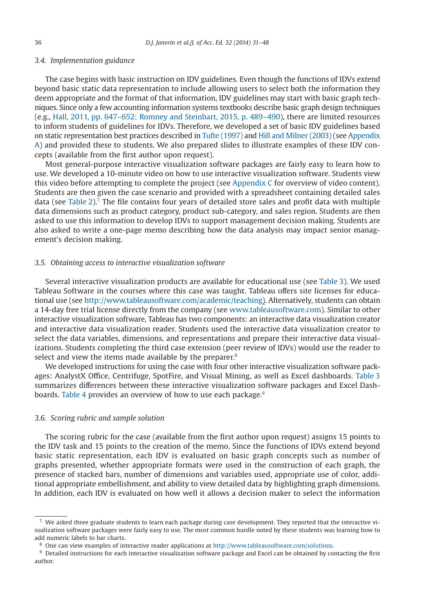#### *3.4. Implementation guidance*

The case begins with basic instruction on IDV guidelines. Even though the functions of IDVs extend beyond basic static data representation to include allowing users to select both the information they deem appropriate and the format of that information, IDV guidelines may start with basic graph techniques. Since only a few accounting information systems textbooks describe basic graph design techniques (e.g., [Hall, 2011, pp. 647–652; Romney and Steinbart, 2015, p. 489–490\)](#page-16-9), there are limited resources to inform students of guidelines for IDVs. Therefore, we developed a set of basic IDV guidelines based on static representation best practices described in [Tufte \(1997\)](#page-17-9) and [Hill and Milner \(2003\)](#page-16-10) (see Appendix A) and provided these to students. We also prepared slides to illustrate examples of these IDV concepts (available from the first author upon request).

Most general-purpose interactive visualization software packages are fairly easy to learn how to use. We developed a 10-minute video on how to use interactive visualization software. Students view this video before attempting to complete the project (see Appendix C for overview of video content). Students are then given the case scenario and provided with a spreadsheet containing detailed sales data (see [Table 2\)](#page-6-0)[.7](#page-5-0) The file contains four years of detailed store sales and profit data with multiple data dimensions such as product category, product sub-category, and sales region. Students are then asked to use this information to develop IDVs to support management decision making. Students are also asked to write a one-page memo describing how the data analysis may impact senior management's decision making.

#### *3.5. Obtaining access to interactive visualization software*

Several interactive visualization products are available for educational use (see [Table 3\)](#page-7-0). We used Tableau Software in the courses where this case was taught. Tableau offers site licenses for educational use (see http://www.tableausoftware.com/academic/teaching). Alternatively, students can obtain a 14-day free trial license directly from the company (see www.tableausoftware.com). Similar to other interactive visualization software, Tableau has two components: an interactive data visualization creator and interactive data visualization reader. Students used the interactive data visualization creator to select the data variables, dimensions, and representations and prepare their interactive data visualizations. Students completing the third case extension (peer review of IDVs) would use the reader to select and view the items made available by the preparer.<sup>8</sup>

We developed instructions for using the case with four other interactive visualization software packages: AnalystX Office, Centrifuge, SpotFire, and Visual Mining, as well as Excel dashboards. [Table 3](#page-7-0) summarizes differences between these interactive visualization software packages and Excel Dash-boards. [Table 4](#page-9-0) provides an overview of how to use each package.<sup>9</sup>

#### *3.6. Scoring rubric and sample solution*

The scoring rubric for the case (available from the first author upon request) assigns 15 points to the IDV task and 15 points to the creation of the memo. Since the functions of IDVs extend beyond basic static representation, each IDV is evaluated on basic graph concepts such as number of graphs presented, whether appropriate formats were used in the construction of each graph, the presence of stacked bars, number of dimensions and variables used, appropriate use of color, additional appropriate embellishment, and ability to view detailed data by highlighting graph dimensions. In addition, each IDV is evaluated on how well it allows a decision maker to select the information

<span id="page-5-0"></span> $7$  We asked three graduate students to learn each package during case development. They reported that the interactive visualization software packages were fairly easy to use. The most common hurdle noted by these students was learning how to add numeric labels to bar charts.

<span id="page-5-1"></span><sup>8</sup> One can view examples of interactive reader applications at http://www.tableausoftware.com/solutions.

<span id="page-5-2"></span><sup>9</sup> Detailed instructions for each interactive visualization software package and Excel can be obtained by contacting the first author.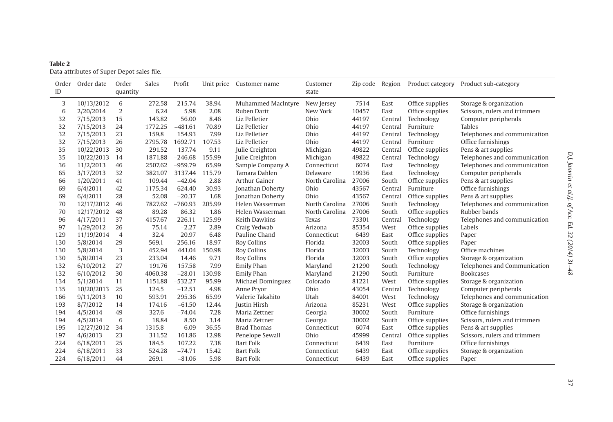<span id="page-6-0"></span>

| Table 2 |                                            |
|---------|--------------------------------------------|
|         | Data attributes of Super Depot sales file. |

| Order<br>ID | Order date | Order<br>quantity | Sales   | Profit    |        | Unit price Customer name | Customer<br>state | Zip code | Region  | Product category | Product sub-category          |
|-------------|------------|-------------------|---------|-----------|--------|--------------------------|-------------------|----------|---------|------------------|-------------------------------|
| 3           | 10/13/2012 | 6                 | 272.58  | 215.74    | 38.94  | Muhammed MacIntyre       | New Jersey        | 7514     | East    | Office supplies  | Storage & organization        |
| 6           | 2/20/2014  | $\overline{2}$    | 6.24    | 5.98      | 2.08   | Ruben Dartt              | New York          | 10457    | East    | Office supplies  | Scissors, rulers and trimmers |
| 32          | 7/15/2013  | 15                | 143.82  | 56.00     | 8.46   | Liz Pelletier            | Ohio              | 44197    | Central | Technology       | Computer peripherals          |
| 32          | 7/15/2013  | 24                | 1772.25 | $-481.61$ | 70.89  | Liz Pelletier            | Ohio              | 44197    | Central | Furniture        | <b>Tables</b>                 |
| 32          | 7/15/2013  | 23                | 159.8   | 154.93    | 7.99   | Liz Pelletier            | Ohio              | 44197    | Central | Technology       | Telephones and communication  |
| 32          | 7/15/2013  | 26                | 2795.78 | 1692.71   | 107.53 | Liz Pelletier            | Ohio              | 44197    | Central | Furniture        | Office furnishings            |
| 35          | 10/22/2013 | 30                | 291.52  | 137.74    | 9.11   | Julie Creighton          | Michigan          | 49822    | Central | Office supplies  | Pens & art supplies           |
| 35          | 10/22/2013 | 14                | 1871.88 | $-246.68$ | 155.99 | Julie Creighton          | Michigan          | 49822    | Central | Technology       | Telephones and communication  |
| 36          | 11/2/2013  | 46                | 2507.62 | $-959.79$ | 65.99  | Sample Company A         | Connecticut       | 6074     | East    | Technology       | Telephones and communication  |
| 65          | 3/17/2013  | 32                | 3821.07 | 3137.44   | 115.79 | Tamara Dahlen            | Delaware          | 19936    | East    | Technology       | Computer peripherals          |
| 66          | 1/20/2011  | 41                | 109.44  | $-42.04$  | 2.88   | Arthur Gainer            | North Carolina    | 27006    | South   | Office supplies  | Pens & art supplies           |
| 69          | 6/4/2011   | 42                | 1175.34 | 624.40    | 30.93  | Jonathan Doherty         | Ohio              | 43567    | Central | Furniture        | Office furnishings            |
| 69          | 6/4/2011   | 28                | 52.08   | $-20.37$  | 1.68   | Jonathan Doherty         | Ohio              | 43567    | Central | Office supplies  | Pens & art supplies           |
| 70          | 12/17/2012 | 46                | 7827.62 | $-760.93$ | 205.99 | Helen Wasserman          | North Carolina    | 27006    | South   | Technology       | Telephones and communication  |
| 70          | 12/17/2012 | 48                | 89.28   | 86.32     | 1.86   | Helen Wasserman          | North Carolina    | 27006    | South   | Office supplies  | Rubber bands                  |
| 96          | 4/17/2011  | 37                | 4157.67 | 226.11    | 125.99 | Keith Dawkins            | Texas             | 73301    | Central | Technology       | Telephones and communication  |
| 97          | 1/29/2012  | 26                | 75.14   | $-2.27$   | 2.89   | Craig Yedwab             | Arizona           | 85354    | West    | Office supplies  | Labels                        |
| 129         | 11/19/2014 | $\overline{4}$    | 32.4    | 20.97     | 6.48   | Pauline Chand            | Connecticut       | 6439     | East    | Office supplies  | Paper                         |
| 130         | 5/8/2014   | 29                | 569.1   | $-256.16$ | 18.97  | <b>Roy Collins</b>       | Florida           | 32003    | South   | Office supplies  | Paper                         |
| 130         | 5/8/2014   | 3                 | 452.94  | 441.04    | 150.98 | <b>Roy Collins</b>       | Florida           | 32003    | South   | Technology       | Office machines               |
| 130         | 5/8/2014   | 23                | 233.04  | 14.46     | 9.71   | Roy Collins              | Florida           | 32003    | South   | Office supplies  | Storage & organization        |
| 132         | 6/10/2012  | 27                | 191.76  | 157.58    | 7.99   | Emily Phan               | Maryland          | 21290    | South   | Technology       | Telephones and Communication  |
| 132         | 6/10/2012  | 30                | 4060.38 | $-28.01$  | 130.98 | <b>Emily Phan</b>        | Maryland          | 21290    | South   | Furniture        | <b>Bookcases</b>              |
| 134         | 5/1/2014   | 11                | 1151.88 | $-532.27$ | 95.99  | Michael Dominguez        | Colorado          | 81221    | West    | Office supplies  | Storage & organization        |
| 135         | 10/20/2013 | 25                | 124.5   | $-12.51$  | 4.98   | Anne Prvor               | Ohio              | 43054    | Central | Technology       | Computer peripherals          |
| 166         | 9/11/2013  | 10                | 593.91  | 295.36    | 65.99  | Valerie Takahito         | Utah              | 84001    | West    | Technology       | Telephones and communication  |
| 193         | 8/7/2012   | 14                | 174.16  | $-61.50$  | 12.44  | Justin Hirsh             | Arizona           | 85231    | West    | Office supplies  | Storage & organization        |
| 194         | 4/5/2014   | 49                | 327.6   | $-74.04$  | 7.28   | Maria Zettner            | Georgia           | 30002    | South   | Furniture        | Office furnishings            |
| 194         | 4/5/2014   | 6                 | 18.84   | 8.50      | 3.14   | Maria Zettner            | Georgia           | 30002    | South   | Office supplies  | Scissors, rulers and trimmers |
| 195         | 12/27/2012 | 34                | 1315.8  | 6.09      | 36.55  | <b>Brad Thomas</b>       | Connecticut       | 6074     | East    | Office supplies  | Pens & art supplies           |
| 197         | 4/6/2013   | 23                | 311.52  | 161.86    | 12.98  | Penelope Sewall          | Ohio              | 45999    | Central | Office supplies  | Scissors, rulers and trimmers |
| 224         | 6/18/2011  | 25                | 184.5   | 107.22    | 7.38   | <b>Bart Folk</b>         | Connecticut       | 6439     | East    | Furniture        | Office furnishings            |
| 224         | 6/18/2011  | 33                | 524.28  | $-74.71$  | 15.42  | <b>Bart Folk</b>         | Connecticut       | 6439     | East    | Office supplies  | Storage & organization        |
| 224         | 6/18/2011  | 44                | 269.1   | $-81.06$  | 5.98   | <b>Bart Folk</b>         | Connecticut       | 6439     | East    | Office supplies  | Paper                         |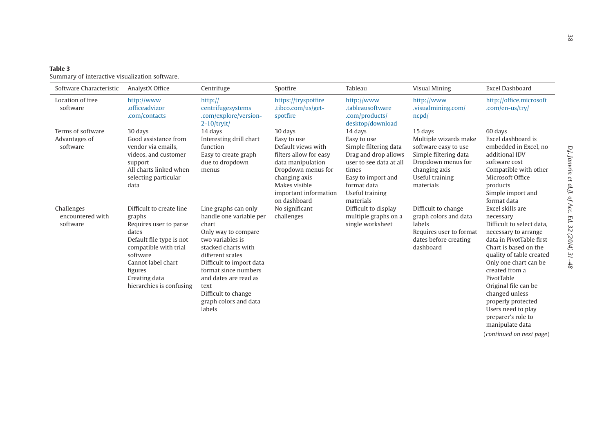<span id="page-7-0"></span>

| Table 3 |  |                                                |  |
|---------|--|------------------------------------------------|--|
|         |  | Summary of interactive visualization software. |  |

| Software Characteristic                        | AnalystX Office                                                                                                                                                                                                      | Centrifuge                                                                                                                                                                                                                                                                                    | Spotfire                                                                                                                                                                                     | Tableau                                                                                                                                                                          | <b>Visual Mining</b>                                                                                                                                     | Excel Dashboard                                                                                                                                                                                                                                                                                                                                                                         |
|------------------------------------------------|----------------------------------------------------------------------------------------------------------------------------------------------------------------------------------------------------------------------|-----------------------------------------------------------------------------------------------------------------------------------------------------------------------------------------------------------------------------------------------------------------------------------------------|----------------------------------------------------------------------------------------------------------------------------------------------------------------------------------------------|----------------------------------------------------------------------------------------------------------------------------------------------------------------------------------|----------------------------------------------------------------------------------------------------------------------------------------------------------|-----------------------------------------------------------------------------------------------------------------------------------------------------------------------------------------------------------------------------------------------------------------------------------------------------------------------------------------------------------------------------------------|
| Location of free<br>software                   | http://www<br>.officeadvizor<br>.com/contacts                                                                                                                                                                        | http://<br>centrifugesystems<br>.com/explore/version-<br>$2-10$ /tryit/                                                                                                                                                                                                                       | https://tryspotfire<br>.tibco.com/us/get-<br>spotfire                                                                                                                                        | http://www<br>.tableausoftware<br>.com/products/<br>desktop/download                                                                                                             | http://www<br>.visualmining.com/<br>ncpd/                                                                                                                | http://office.microsoft<br>.com/en-us/try/                                                                                                                                                                                                                                                                                                                                              |
| Terms of software<br>Advantages of<br>software | 30 days<br>Good assistance from<br>vendor via emails.<br>videos, and customer<br>support<br>All charts linked when<br>selecting particular<br>data                                                                   | 14 days<br>Interesting drill chart<br>function<br>Easy to create graph<br>due to dropdown<br>menus                                                                                                                                                                                            | 30 days<br>Easy to use<br>Default views with<br>filters allow for easy<br>data manipulation<br>Dropdown menus for<br>changing axis<br>Makes visible<br>important information<br>on dashboard | 14 days<br>Easy to use<br>Simple filtering data<br>Drag and drop allows<br>user to see data at all<br>times<br>Easy to import and<br>format data<br>Useful training<br>materials | 15 days<br>Multiple wizards make<br>software easy to use<br>Simple filtering data<br>Dropdown menus for<br>changing axis<br>Useful training<br>materials | 60 days<br>Excel dashboard is<br>embedded in Excel, no<br>additional IDV<br>software cost<br>Compatible with other<br>Microsoft Office<br>products<br>Simple import and<br>format data                                                                                                                                                                                                  |
| Challenges<br>encountered with<br>software     | Difficult to create line<br>graphs<br>Requires user to parse<br>dates<br>Default file type is not<br>compatible with trial<br>software<br>Cannot label chart<br>figures<br>Creating data<br>hierarchies is confusing | Line graphs can only<br>handle one variable per<br>chart<br>Only way to compare<br>two variables is<br>stacked charts with<br>different scales<br>Difficult to import data<br>format since numbers<br>and dates are read as<br>text<br>Difficult to change<br>graph colors and data<br>labels | No significant<br>challenges                                                                                                                                                                 | Difficult to display<br>multiple graphs on a<br>single worksheet                                                                                                                 | Difficult to change<br>graph colors and data<br>labels<br>Requires user to format<br>dates before creating<br>dashboard                                  | Excel skills are<br>necessary<br>Difficult to select data.<br>necessary to arrange<br>data in PivotTable first<br>Chart is based on the<br>quality of table created<br>Only one chart can be<br>created from a<br>PivotTable<br>Original file can be<br>changed unless<br>properly protected<br>Users need to play<br>preparer's role to<br>manipulate data<br>(continued on next page) |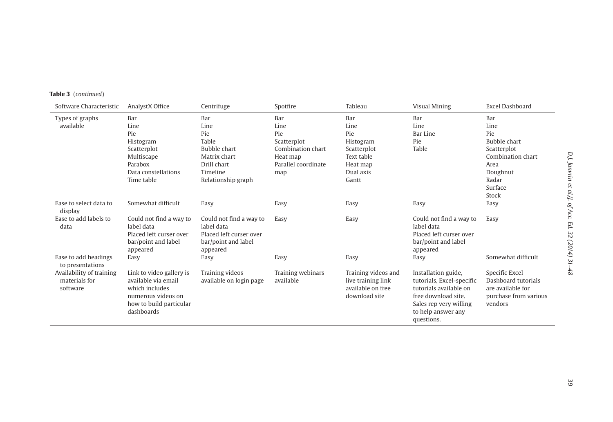**Table 3** (*continued*)

| Software Characteristic                               | AnalystX Office                                                                                                                  | Centrifuge                                                                                                          | Spotfire                                                                                         | Tableau                                                                                        | Visual Mining                                                                                                                                                   | Excel Dashboard                                                                                                       |
|-------------------------------------------------------|----------------------------------------------------------------------------------------------------------------------------------|---------------------------------------------------------------------------------------------------------------------|--------------------------------------------------------------------------------------------------|------------------------------------------------------------------------------------------------|-----------------------------------------------------------------------------------------------------------------------------------------------------------------|-----------------------------------------------------------------------------------------------------------------------|
| Types of graphs<br>available                          | Bar<br>Line<br>Pie<br>Histogram<br>Scatterplot<br>Multiscape<br>Parabox<br>Data constellations<br>Time table                     | Bar<br>Line<br>Pie<br>Table<br><b>Bubble chart</b><br>Matrix chart<br>Drill chart<br>Timeline<br>Relationship graph | Bar<br>Line<br>Pie<br>Scatterplot<br>Combination chart<br>Heat map<br>Parallel coordinate<br>map | Bar<br>Line<br>Pie<br>Histogram<br>Scatterplot<br>Text table<br>Heat map<br>Dual axis<br>Gantt | Bar<br>Line<br>Bar Line<br>Pie<br>Table                                                                                                                         | Bar<br>Line<br>Pie<br><b>Bubble chart</b><br>Scatterplot<br>Combination chart<br>Area<br>Doughnut<br>Radar<br>Surface |
| Ease to select data to<br>display                     | Somewhat difficult                                                                                                               | Easy                                                                                                                | Easy                                                                                             | Easy                                                                                           | Easy                                                                                                                                                            | Stock<br>Easy                                                                                                         |
| Ease to add labels to<br>data                         | Could not find a way to<br>label data<br>Placed left curser over<br>bar/point and label<br>appeared                              | Could not find a way to<br>label data<br>Placed left curser over<br>bar/point and label<br>appeared                 | Easy                                                                                             | Easy                                                                                           | Could not find a way to<br>label data<br>Placed left curser over<br>bar/point and label<br>appeared                                                             | Easy                                                                                                                  |
| Ease to add headings<br>to presentations              | Easy                                                                                                                             | Easy                                                                                                                | Easy                                                                                             | Easy                                                                                           | Easy                                                                                                                                                            | Somewhat difficult                                                                                                    |
| Availability of training<br>materials for<br>software | Link to video gallery is<br>available via email<br>which includes<br>numerous videos on<br>how to build particular<br>dashboards | Training videos<br>available on login page                                                                          | Training webinars<br>available                                                                   | Training videos and<br>live training link<br>available on free<br>download site                | Installation guide,<br>tutorials. Excel-specific<br>tutorials available on<br>free download site.<br>Sales rep very willing<br>to help answer any<br>questions. | Specific Excel<br>Dashboard tutorials<br>are available for<br>purchase from various<br>vendors                        |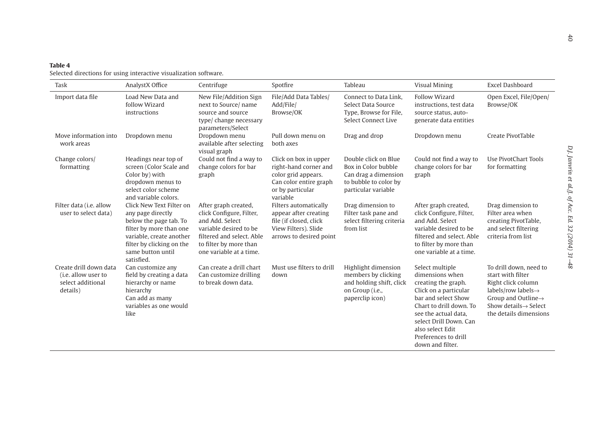# <span id="page-9-0"></span>**Table 4**Selected directions for using interactive visualization software.

| Task                                                                           | AnalystX Office                                                                                                                                                                                | Centrifuge                                                                                                                                                                      | Spotfire                                                                                                                        | Tableau                                                                                                             | <b>Visual Mining</b>                                                                                                                                                                                                                                   | Excel Dashboard                                                                                                                                                                                        |
|--------------------------------------------------------------------------------|------------------------------------------------------------------------------------------------------------------------------------------------------------------------------------------------|---------------------------------------------------------------------------------------------------------------------------------------------------------------------------------|---------------------------------------------------------------------------------------------------------------------------------|---------------------------------------------------------------------------------------------------------------------|--------------------------------------------------------------------------------------------------------------------------------------------------------------------------------------------------------------------------------------------------------|--------------------------------------------------------------------------------------------------------------------------------------------------------------------------------------------------------|
| Import data file                                                               | Load New Data and<br>follow Wizard<br>instructions                                                                                                                                             | New File/Addition Sign<br>next to Source/ name<br>source and source<br>type/ change necessary<br>parameters/Select                                                              | File/Add Data Tables/<br>Add/File/<br>Browse/OK                                                                                 | Connect to Data Link.<br>Select Data Source<br>Type, Browse for File,<br>Select Connect Live                        | <b>Follow Wizard</b><br>instructions, test data<br>source status, auto-<br>generate data entities                                                                                                                                                      | Open Excel, File/Open/<br>Browse/OK                                                                                                                                                                    |
| Move information into<br>work areas                                            | Dropdown menu                                                                                                                                                                                  | Dropdown menu<br>available after selecting<br>visual graph                                                                                                                      | Pull down menu on<br>both axes                                                                                                  | Drag and drop                                                                                                       | Dropdown menu                                                                                                                                                                                                                                          | Create PivotTable                                                                                                                                                                                      |
| Change colors/<br>formatting                                                   | Headings near top of<br>screen (Color Scale and<br>Color by) with<br>dropdown menus to<br>select color scheme<br>and variable colors.                                                          | Could not find a way to<br>change colors for bar<br>graph                                                                                                                       | Click on box in upper<br>right-hand corner and<br>color grid appears.<br>Can color entire graph<br>or by particular<br>variable | Double click on Blue<br>Box in Color bubble<br>Can drag a dimension<br>to bubble to color by<br>particular variable | Could not find a way to<br>change colors for bar<br>graph                                                                                                                                                                                              | Use PivotChart Tools<br>for formatting                                                                                                                                                                 |
| Filter data (i.e. allow<br>user to select data)                                | Click New Text Filter on<br>any page directly<br>below the page tab. To<br>filter by more than one<br>variable, create another<br>filter by clicking on the<br>same button until<br>satisfied. | After graph created,<br>click Configure, Filter,<br>and Add. Select<br>variable desired to be<br>filtered and select. Able<br>to filter by more than<br>one variable at a time. | Filters automatically<br>appear after creating<br>file (if closed, click<br>View Filters). Slide<br>arrows to desired point     | Drag dimension to<br>Filter task pane and<br>select filtering criteria<br>from list                                 | After graph created,<br>click Configure, Filter,<br>and Add. Select<br>variable desired to be<br>filtered and select. Able<br>to filter by more than<br>one variable at a time.                                                                        | Drag dimension to<br>Filter area when<br>creating PivotTable,<br>and select filtering<br>criteria from list                                                                                            |
| Create drill down data<br>(i.e. allow user to<br>select additional<br>details) | Can customize any<br>field by creating a data<br>hierarchy or name<br>hierarchy<br>Can add as many<br>variables as one would<br>like                                                           | Can create a drill chart<br>Can customize drilling<br>to break down data.                                                                                                       | Must use filters to drill<br>down                                                                                               | Highlight dimension<br>members by clicking<br>and holding shift, click<br>on Group (i.e.,<br>paperclip icon)        | Select multiple<br>dimensions when<br>creating the graph.<br>Click on a particular<br>bar and select Show<br>Chart to drill down. To<br>see the actual data.<br>select Drill Down, Can<br>also select Edit<br>Preferences to drill<br>down and filter. | To drill down, need to<br>start with filter<br>Right click column<br>labels/row labels $\rightarrow$<br>Group and Outline $\rightarrow$<br>Show details $\rightarrow$ Select<br>the details dimensions |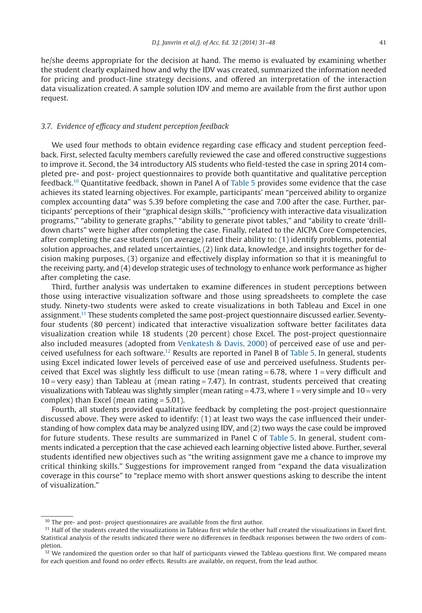he/she deems appropriate for the decision at hand. The memo is evaluated by examining whether the student clearly explained how and why the IDV was created, summarized the information needed for pricing and product-line strategy decisions, and offered an interpretation of the interaction data visualization created. A sample solution IDV and memo are available from the first author upon request.

#### *3.7. Evidence of efficacy and student perception feedback*

We used four methods to obtain evidence regarding case efficacy and student perception feedback. First, selected faculty members carefully reviewed the case and offered constructive suggestions to improve it. Second, the 34 introductory AIS students who field-tested the case in spring 2014 completed pre- and post- project questionnaires to provide both quantitative and qualitative perception feedback[.10](#page-10-0) Quantitative feedback, shown in Panel A of [Table 5](#page-11-0) provides some evidence that the case achieves its stated learning objectives. For example, participants' mean "perceived ability to organize complex accounting data" was 5.39 before completing the case and 7.00 after the case. Further, participants' perceptions of their "graphical design skills," "proficiency with interactive data visualization programs," "ability to generate graphs," "ability to generate pivot tables," and "ability to create 'drilldown charts" were higher after completing the case. Finally, related to the AICPA Core Competencies, after completing the case students (on average) rated their ability to: (1) identify problems, potential solution approaches, and related uncertainties, (2) link data, knowledge, and insights together for decision making purposes, (3) organize and effectively display information so that it is meaningful to the receiving party, and (4) develop strategic uses of technology to enhance work performance as higher after completing the case.

Third, further analysis was undertaken to examine differences in student perceptions between those using interactive visualization software and those using spreadsheets to complete the case study. Ninety-two students were asked to create visualizations in both Tableau and Excel in one assignment[.11](#page-10-1) These students completed the same post-project questionnaire discussed earlier. Seventyfour students (80 percent) indicated that interactive visualization software better facilitates data visualization creation while 18 students (20 percent) chose Excel. The post-project questionnaire also included measures (adopted from [Venkatesh & Davis, 2000\)](#page-17-10) of perceived ease of use and perceived usefulness for each software[.12](#page-10-2) Results are reported in Panel B of [Table 5.](#page-11-0) In general, students using Excel indicated lower levels of perceived ease of use and perceived usefulness. Students perceived that Excel was slightly less difficult to use (mean rating  $= 6.78$ , where 1 = very difficult and  $10 =$  very easy) than Tableau at (mean rating  $= 7.47$ ). In contrast, students perceived that creating visualizations with Tableau was slightly simpler (mean rating  $=$  4.73, where 1 = very simple and 10 = very complex) than Excel (mean rating = 5.01).

Fourth, all students provided qualitative feedback by completing the post-project questionnaire discussed above. They were asked to identify: (1) at least two ways the case influenced their understanding of how complex data may be analyzed using IDV, and (2) two ways the case could be improved for future students. These results are summarized in Panel C of [Table 5.](#page-11-0) In general, student comments indicated a perception that the case achieved each learning objective listed above. Further, several students identified new objectives such as "the writing assignment gave me a chance to improve my critical thinking skills." Suggestions for improvement ranged from "expand the data visualization coverage in this course" to "replace memo with short answer questions asking to describe the intent of visualization."

<span id="page-10-0"></span><sup>&</sup>lt;sup>10</sup> The pre- and post- project questionnaires are available from the first author.

<span id="page-10-1"></span><sup>&</sup>lt;sup>11</sup> Half of the students created the visualizations in Tableau first while the other half created the visualizations in Excel first. Statistical analysis of the results indicated there were no differences in feedback responses between the two orders of completion.

<span id="page-10-2"></span> $12$  We randomized the question order so that half of participants viewed the Tableau questions first. We compared means for each question and found no order effects. Results are available, on request, from the lead author.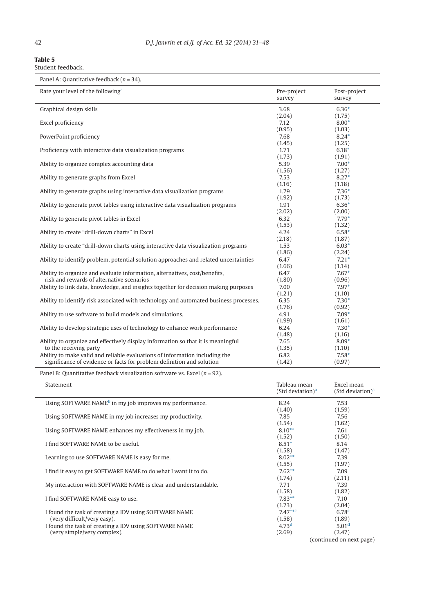$\overline{\phantom{0}}$ 

<span id="page-11-0"></span>

| Table 5           |  |
|-------------------|--|
| Student feedback. |  |

| Rate your level of the following <sup>a</sup>                                                                                                        | Pre-project<br>survey | Post-project<br>survey |
|------------------------------------------------------------------------------------------------------------------------------------------------------|-----------------------|------------------------|
| Graphical design skills                                                                                                                              | 3.68                  | $6.36*$                |
|                                                                                                                                                      | (2.04)                | (1.75)                 |
| Excel proficiency                                                                                                                                    | 7.12<br>(0.95)        | $8.00*$<br>(1.03)      |
| PowerPoint proficiency                                                                                                                               | 7.68                  | $8.24*$                |
|                                                                                                                                                      | (1.45)                | (1.25)                 |
| Proficiency with interactive data visualization programs                                                                                             | 1.71                  | $6.18*$                |
|                                                                                                                                                      | (1.73)                | (1.91)                 |
| Ability to organize complex accounting data                                                                                                          | 5.39                  | $7.00*$                |
|                                                                                                                                                      | (1.56)                | (1.27)                 |
| Ability to generate graphs from Excel                                                                                                                | 7.53                  | $8.27*$                |
|                                                                                                                                                      | (1.16)                | (1.18)                 |
| Ability to generate graphs using interactive data visualization programs                                                                             | 1.79                  | $7.36*$                |
|                                                                                                                                                      | (1.92)                | (1.73)                 |
| Ability to generate pivot tables using interactive data visualization programs                                                                       | 1.91                  | $6.36*$                |
|                                                                                                                                                      | (2.02)                | (2.00)                 |
| Ability to generate pivot tables in Excel                                                                                                            | 6.32                  | $7.79*$                |
|                                                                                                                                                      | (1.53)                | (1.32)                 |
| Ability to create "drill-down charts" in Excel                                                                                                       | 4.24                  | $6.58*$                |
|                                                                                                                                                      | (2.18)                | (1.87)                 |
| Ability to create "drill-down charts using interactive data visualization programs                                                                   | 1.53                  | $6.03*$                |
|                                                                                                                                                      | (1.86)                | (2.24)                 |
| Ability to identify problem, potential solution approaches and related uncertainties                                                                 | 6.47                  | $7.21*$                |
|                                                                                                                                                      | (1.66)                | (1.14)                 |
| Ability to organize and evaluate information, alternatives, cost/benefits,                                                                           | 6.47                  | $7.67*$                |
| risk and rewards of alternative scenarios                                                                                                            | (1.80)                | (0.96)                 |
| Ability to link data, knowledge, and insights together for decision making purposes                                                                  | 7.00                  | $7.97*$                |
|                                                                                                                                                      | (1.21)                | (1.10)                 |
| Ability to identify risk associated with technology and automated business processes.                                                                | 6.35                  | $7.30*$                |
|                                                                                                                                                      | (1.76)                | (0.92)                 |
| Ability to use software to build models and simulations.                                                                                             | 4.91                  | $7.09*$                |
|                                                                                                                                                      | (1.99)                | (1.61)                 |
| Ability to develop strategic uses of technology to enhance work performance                                                                          | 6.24                  | $7.30*$                |
|                                                                                                                                                      | (1.48)                | (1.16)                 |
| Ability to organize and effectively display information so that it is meaningful                                                                     | 7.65                  | $8.09*$                |
| to the receiving party                                                                                                                               | (1.35)                | (1.10)                 |
| Ability to make valid and reliable evaluations of information including the<br>significance of evidence or facts for problem definition and solution | 6.82                  | $7.58*$                |
|                                                                                                                                                      | (1.42)                | (0.97)                 |

Panel B: Quantitative feedback visualization software vs. Excel (*n* = 92).

| Statement                                                           | Tableau mean<br>(Std deviation) <sup>a</sup> | Excel mean<br>(Std deviation) <sup>a</sup> |
|---------------------------------------------------------------------|----------------------------------------------|--------------------------------------------|
| Using SOFTWARE NAME <sup>b</sup> in my job improves my performance. | 8.24                                         | 7.53                                       |
|                                                                     | (1.40)                                       | (1.59)                                     |
| Using SOFTWARE NAME in my job increases my productivity.            | 7.85                                         | 7.56                                       |
|                                                                     | (1.54)                                       | (1.62)                                     |
| Using SOFTWARE NAME enhances my effectiveness in my job.            | $8.10**$                                     | 7.61                                       |
|                                                                     | (1.52)                                       | (1.50)                                     |
| I find SOFTWARE NAME to be useful.                                  | $8.51*$                                      | 8.14                                       |
|                                                                     | (1.58)                                       | (1.47)                                     |
| Learning to use SOFTWARE NAME is easy for me.                       | $8.02**$                                     | 7.39                                       |
|                                                                     | (1.55)                                       | (1.97)                                     |
| I find it easy to get SOFTWARE NAME to do what I want it to do.     | $7.62**$                                     | 7.09                                       |
|                                                                     | (1.74)                                       | (2.11)                                     |
| My interaction with SOFTWARE NAME is clear and understandable.      | 7.71                                         | 7.39                                       |
|                                                                     | (1.58)                                       | (1.82)                                     |
| I find SOFTWARE NAME easy to use.                                   | $7.83**$                                     | 7.10                                       |
|                                                                     | (1.73)                                       | (2.04)                                     |
| I found the task of creating a IDV using SOFTWARE NAME              | $7.47***$                                    | 6.78 <sup>c</sup>                          |
| (very difficult/very easy).                                         | (1.58)                                       | (1.89)                                     |
| I found the task of creating a IDV using SOFTWARE NAME              | 4.73 <sup>d</sup>                            | 5.01 <sup>d</sup>                          |
| (very simple/very complex).                                         | (2.69)                                       | (2.47)                                     |
|                                                                     |                                              | (continued on next page)                   |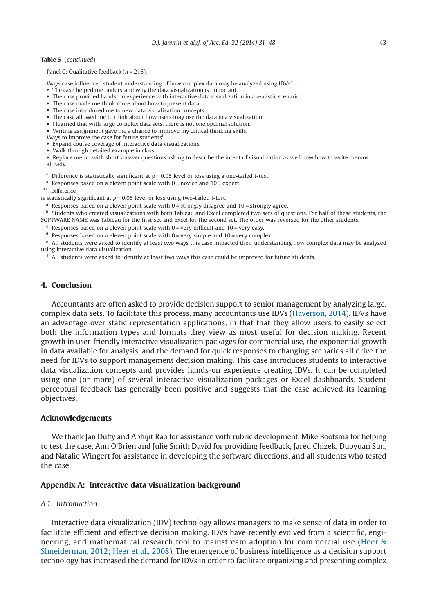#### **Table 5** (*continued*)

#### Panel C: Qualitative feedback ( $n = 216$ ).

- Ways ca[se](#page-12-7) influenced student understanding of how complex data may be analyzed using IDVs<sup>e</sup>
- The case helped me understand why the data visualization is important.
- The case provided hands-on experience with interactive data visualization in a realistic scenario.
- The case made me think more about how to present data.
- The case introduced me to new data visualization concepts.
- The case allowed me to think about how users may use the data in a visualization.
- I learned that with large complex data sets, there is not one optimal solution.
- Writing assignment gave me a chance to improve my critical thinking skills.
- Ways to improve the case for future students<sup>f</sup>
- Expand course coverage of interactive data visualizations.
- Walk through detailed example in class.

• Replace memo with short-answer questions asking to describe the intent of visualization as we know how to write memos already.

- <span id="page-12-1"></span> $*$  Difference is statistically significant at  $p = 0.05$  level or less using a one-tailed t-test.
- <span id="page-12-0"></span><sup>a</sup> Responses based on a eleven point scale with  $0 =$  novice and  $10 =$  expert.
- <span id="page-12-4"></span>\*\* Difference

<span id="page-12-2"></span>is statistically significant at *p* = 0.05 level or less using two-tailed *t*-test.

<sup>a</sup> Responses based on a eleven point scale with  $0 =$  strongly disagree and  $10 =$  strongly agree.

<span id="page-12-3"></span> $<sup>b</sup>$  Students who created visualizations with both Tableau and Excel completed two sets of questions. For half of these students, the</sup> SOFTWARE NAME was Tableau for the first set and Excel for the second set. The order was reversed for the other students.

- <span id="page-12-5"></span> $c$  Responses based on a eleven point scale with  $0 =$  very difficult and  $10 =$  very easy.
- <span id="page-12-6"></span> $d$  Responses based on a eleven point scale with  $0 =$  very simple and  $10 =$  very complex.

<span id="page-12-7"></span><sup>e</sup> All students were asked to identify at least two ways this case impacted their understanding how complex data may be analyzed using interactive data visualization.

<span id="page-12-8"></span> $f$  All students were asked to identify at least two ways this case could be improved for future students.

# **4. Conclusion**

Accountants are often asked to provide decision support to senior management by analyzing large, complex data sets. To facilitate this process, many accountants use IDVs [\(Haverson, 2014\)](#page-16-11). IDVs have an advantage over static representation applications, in that that they allow users to easily select both the information types and formats they view as most useful for decision making. Recent growth in user-friendly interactive visualization packages for commercial use, the exponential growth in data available for analysis, and the demand for quick responses to changing scenarios all drive the need for IDVs to support management decision making. This case introduces students to interactive data visualization concepts and provides hands-on experience creating IDVs. It can be completed using one (or more) of several interactive visualization packages or Excel dashboards. Student perceptual feedback has generally been positive and suggests that the case achieved its learning objectives.

#### **Acknowledgements**

We thank Jan Duffy and Abhijit Rao for assistance with rubric development, Mike Bootsma for helping to test the case, Ann O'Brien and Julie Smith David for providing feedback, Jared Chizek, Duoyuan Sun, and Natalie Wingert for assistance in developing the software directions, and all students who tested the case.

#### **Appendix A: Interactive data visualization background**

#### *A.1. Introduction*

Interactive data visualization (IDV) technology allows managers to make sense of data in order to facilitate efficient and effective decision making. IDVs have recently evolved from a scientific, engineering, and mathematical research tool to mainstream adoption for commercial use [\(Heer &](#page-16-12) [Shneiderman, 2012; Heer et al., 2008\)](#page-16-12). The emergence of business intelligence as a decision support technology has increased the demand for IDVs in order to facilitate organizing and presenting complex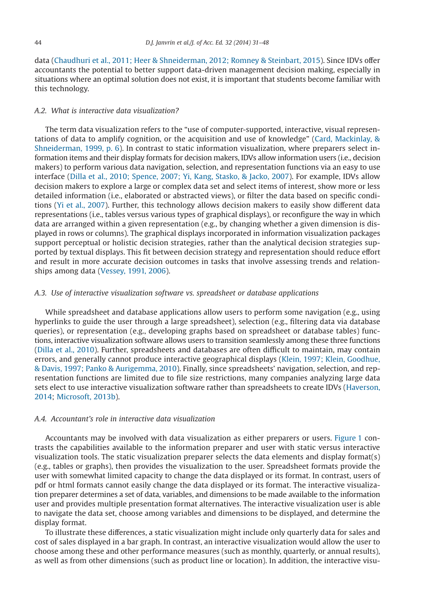data [\(Chaudhuri et al., 2011; Heer & Shneiderman, 2012; Romney & Steinbart, 2015\)](#page-16-1). Since IDVs offer accountants the potential to better support data-driven management decision making, especially in situations where an optimal solution does not exist, it is important that students become familiar with this technology.

# *A.2. What is interactive data visualization?*

The term data visualization refers to the "use of computer-supported, interactive, visual representations of data to amplify cognition, or the acquisition and use of knowledge" [\(Card, Mackinlay, &](#page-16-13) [Shneiderman, 1999, p. 6\)](#page-16-13). In contrast to static information visualization, where preparers select information items and their display formats for decision makers, IDVs allow information users (i.e., decision makers) to perform various data navigation, selection, and representation functions via an easy to use interface [\(Dilla et al., 2010; Spence, 2007; Yi, Kang, Stasko, & Jacko, 2007\)](#page-16-2). For example, IDVs allow decision makers to explore a large or complex data set and select items of interest, show more or less detailed information (i.e., elaborated or abstracted views), or filter the data based on specific conditions [\(Yi et al., 2007\)](#page-17-11). Further, this technology allows decision makers to easily show different data representations (i.e., tables versus various types of graphical displays), or reconfigure the way in which data are arranged within a given representation (e.g., by changing whether a given dimension is displayed in rows or columns). The graphical displays incorporated in information visualization packages support perceptual or holistic decision strategies, rather than the analytical decision strategies supported by textual displays. This fit between decision strategy and representation should reduce effort and result in more accurate decision outcomes in tasks that involve assessing trends and relationships among data [\(Vessey, 1991, 2006\)](#page-17-12).

#### *A.3. Use of interactive visualization software vs. spreadsheet or database applications*

While spreadsheet and database applications allow users to perform some navigation (e.g., using hyperlinks to guide the user through a large spreadsheet), selection (e.g., filtering data via database queries), or representation (e.g., developing graphs based on spreadsheet or database tables) functions, interactive visualization software allows users to transition seamlessly among these three functions [\(Dilla et al., 2010\)](#page-16-2). Further, spreadsheets and databases are often difficult to maintain, may contain errors, and generally cannot produce interactive geographical displays [\(Klein, 1997; Klein, Goodhue,](#page-16-14) [& Davis, 1997; Panko & Aurigemma, 2010\)](#page-16-14). Finally, since spreadsheets' navigation, selection, and representation functions are limited due to file size restrictions, many companies analyzing large data sets elect to use interactive visualization software rather than spreadsheets to create IDVs [\(Haverson,](#page-16-11) [2014;](#page-16-11) [Microsoft, 2013b\)](#page-17-13).

# *A.4. Accountant's role in interactive data visualization*

Accountants may be involved with data visualization as either preparers or users. [Figure 1](#page-14-0) contrasts the capabilities available to the information preparer and user with static versus interactive visualization tools. The static visualization preparer selects the data elements and display format(s) (e.g., tables or graphs), then provides the visualization to the user. Spreadsheet formats provide the user with somewhat limited capacity to change the data displayed or its format. In contrast, users of pdf or html formats cannot easily change the data displayed or its format. The interactive visualization preparer determines a set of data, variables, and dimensions to be made available to the information user and provides multiple presentation format alternatives. The interactive visualization user is able to navigate the data set, choose among variables and dimensions to be displayed, and determine the display format.

To illustrate these differences, a static visualization might include only quarterly data for sales and cost of sales displayed in a bar graph. In contrast, an interactive visualization would allow the user to choose among these and other performance measures (such as monthly, quarterly, or annual results), as well as from other dimensions (such as product line or location). In addition, the interactive visu-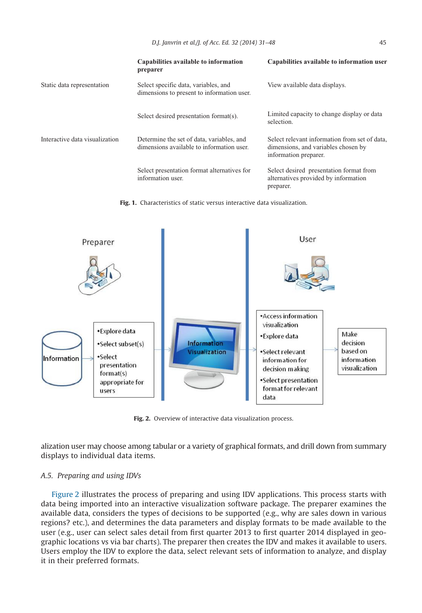<span id="page-14-0"></span>

|                                | Capabilities available to information<br>preparer                                      | Capabilities available to information user                                                                    |
|--------------------------------|----------------------------------------------------------------------------------------|---------------------------------------------------------------------------------------------------------------|
| Static data representation     | Select specific data, variables, and<br>dimensions to present to information user.     | View available data displays.                                                                                 |
|                                | Select desired presentation format(s).                                                 | Limited capacity to change display or data<br>selection.                                                      |
| Interactive data visualization | Determine the set of data, variables, and<br>dimensions available to information user. | Select relevant information from set of data,<br>dimensions, and variables chosen by<br>information preparer. |
|                                | Select presentation format alternatives for<br>information user.                       | Select desired presentation format from<br>alternatives provided by information<br>preparer.                  |

**Fig. 1.** Characteristics of static versus interactive data visualization.



**Fig. 2.** Overview of interactive data visualization process.

alization user may choose among tabular or a variety of graphical formats, and drill down from summary displays to individual data items.

### *A.5. Preparing and using IDVs*

Figure 2 illustrates the process of preparing and using IDV applications. This process starts with data being imported into an interactive visualization software package. The preparer examines the available data, considers the types of decisions to be supported (e.g., why are sales down in various regions? etc.), and determines the data parameters and display formats to be made available to the user (e.g., user can select sales detail from first quarter 2013 to first quarter 2014 displayed in geographic locations vs via bar charts). The preparer then creates the IDV and makes it available to users. Users employ the IDV to explore the data, select relevant sets of information to analyze, and display it in their preferred formats.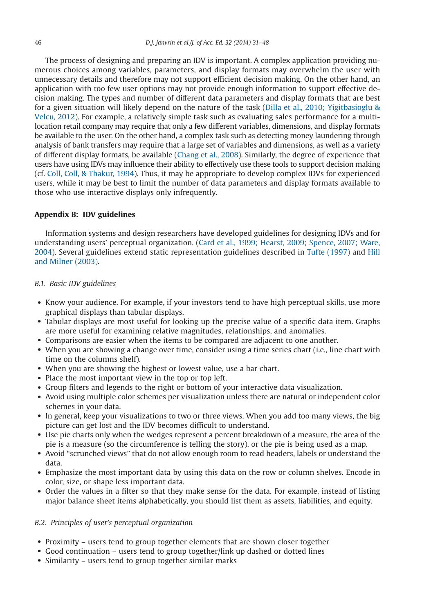The process of designing and preparing an IDV is important. A complex application providing numerous choices among variables, parameters, and display formats may overwhelm the user with unnecessary details and therefore may not support efficient decision making. On the other hand, an application with too few user options may not provide enough information to support effective decision making. The types and number of different data parameters and display formats that are best for a given situation will likely depend on the nature of the task [\(Dilla et al., 2010; Yigitbasioglu &](#page-16-2) [Velcu, 2012\)](#page-16-2). For example, a relatively simple task such as evaluating sales performance for a multilocation retail company may require that only a few different variables, dimensions, and display formats be available to the user. On the other hand, a complex task such as detecting money laundering through analysis of bank transfers may require that a large set of variables and dimensions, as well as a variety of different display formats, be available [\(Chang et al., 2008\)](#page-16-15). Similarly, the degree of experience that users have using IDVs may influence their ability to effectively use these tools to support decision making (cf. [Coll, Coll, & Thakur, 1994\)](#page-16-16). Thus, it may be appropriate to develop complex IDVs for experienced users, while it may be best to limit the number of data parameters and display formats available to those who use interactive displays only infrequently.

#### **Appendix B: IDV guidelines**

Information systems and design researchers have developed guidelines for designing IDVs and for understanding users' perceptual organization. [\(Card et al., 1999; Hearst, 2009; Spence, 2007; Ware,](#page-16-13) [2004\)](#page-16-13). Several guidelines extend static representation guidelines described in [Tufte \(1997\)](#page-17-9) and [Hill](#page-16-10) [and Milner \(2003\).](#page-16-10)

#### *B.1. Basic IDV guidelines*

- Know your audience. For example, if your investors tend to have high perceptual skills, use more graphical displays than tabular displays.
- Tabular displays are most useful for looking up the precise value of a specific data item. Graphs are more useful for examining relative magnitudes, relationships, and anomalies.
- Comparisons are easier when the items to be compared are adjacent to one another.
- When you are showing a change over time, consider using a time series chart (i.e., line chart with time on the columns shelf).
- When you are showing the highest or lowest value, use a bar chart.
- Place the most important view in the top or top left.
- Group filters and legends to the right or bottom of your interactive data visualization.
- Avoid using multiple color schemes per visualization unless there are natural or independent color schemes in your data.
- In general, keep your visualizations to two or three views. When you add too many views, the big picture can get lost and the IDV becomes difficult to understand.
- Use pie charts only when the wedges represent a percent breakdown of a measure, the area of the pie is a measure (so the circumference is telling the story), or the pie is being used as a map.
- Avoid "scrunched views" that do not allow enough room to read headers, labels or understand the data.
- Emphasize the most important data by using this data on the row or column shelves. Encode in color, size, or shape less important data.
- Order the values in a filter so that they make sense for the data. For example, instead of listing major balance sheet items alphabetically, you should list them as assets, liabilities, and equity.

#### *B.2. Principles of user's perceptual organization*

- Proximity users tend to group together elements that are shown closer together
- Good continuation users tend to group together/link up dashed or dotted lines
- Similarity users tend to group together similar marks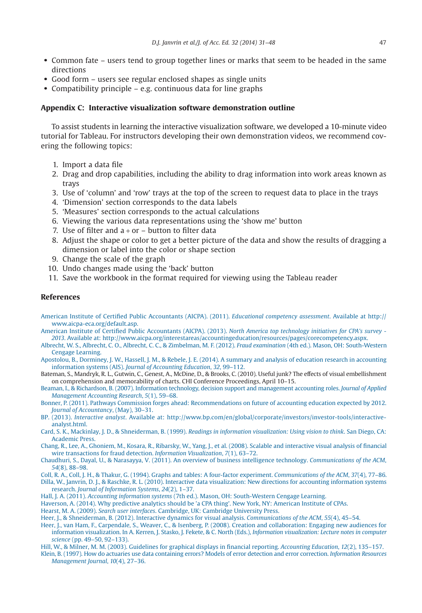- Common fate users tend to group together lines or marks that seem to be headed in the same directions
- Good form users see regular enclosed shapes as single units
- Compatibility principle e.g. continuous data for line graphs

#### **Appendix C: Interactive visualization software demonstration outline**

To assist students in learning the interactive visualization software, we developed a 10-minute video tutorial for Tableau. For instructors developing their own demonstration videos, we recommend covering the following topics:

- 1. Import a data file
- 2. Drag and drop capabilities, including the ability to drag information into work areas known as trays
- 3. Use of 'column' and 'row' trays at the top of the screen to request data to place in the trays
- 4. 'Dimension' section corresponds to the data labels
- 5. 'Measures' section corresponds to the actual calculations
- 6. Viewing the various data representations using the 'show me' button
- 7. Use of filter and  $a + or -$  button to filter data
- 8. Adjust the shape or color to get a better picture of the data and show the results of dragging a dimension or label into the color or shape section
- 9. Change the scale of the graph
- 10. Undo changes made using the 'back' button
- 11. Save the workbook in the format required for viewing using the Tableau reader

#### **References**

- <span id="page-16-6"></span>American Institute of Certified Public Accountants (AICPA). (2011). *Educational competency assessment*. Available at [http://](http://www.aicpa-eca.org/default.asp) [www.aicpa-eca.org/default.asp.](http://www.aicpa-eca.org/default.asp)
- <span id="page-16-4"></span>[American Institute of Certified Public Accountants \(AICPA\). \(2013\).](http://refhub.elsevier.com/S0748-5751(14)00075-X/sr0015) *North America top technology initiatives for CPA's survey - 2013*. Available at: [http://www.aicpa.org/interestareas/accountingeducation/resources/pages/corecompetency.aspx.](http://www.aicpa.org/interestareas/accountingeducation/resources/pages/corecompetency.aspx)
- <span id="page-16-8"></span>[Albrecht, W. S., Albrecht, C. O., Albrecht, C. C., & Zimbelman, M. F. \(2012\).](http://refhub.elsevier.com/S0748-5751(14)00075-X/sr0020) *Fraud examination* (4th ed.). Mason, OH: South-Western [Cengage Learning.](http://refhub.elsevier.com/S0748-5751(14)00075-X/sr0020)
- <span id="page-16-5"></span>[Apostolou, B., Dorminey, J. W., Hassell, J. M., & Rebele, J. E. \(2014\). A summary and analysis of education research in accounting](http://refhub.elsevier.com/S0748-5751(14)00075-X/sr0025) information systems (AIS). *[Journal of Accounting Education](http://refhub.elsevier.com/S0748-5751(14)00075-X/sr0025)*, *32*, 99–112.
- <span id="page-16-7"></span>Bateman, S., Mandryk, R. L., Gutwin, C., Genest, A., McDine, D., & Brooks, C. (2010). Useful junk? The effects of visual embellishment on comprehension and memorability of charts. CHI Conference Proceedings, April 10–15.
- <span id="page-16-0"></span>[Beaman, I., & Richardson, B. \(2007\). Information technology, decision support and management accounting roles.](http://refhub.elsevier.com/S0748-5751(14)00075-X/sr0030) *Journal of Applied [Management Accounting Research](http://refhub.elsevier.com/S0748-5751(14)00075-X/sr0030)*, *5*(1), 59–68.
- [Bonner, P. \(2011\). Pathways Commission forges ahead: Recommendations on future of accounting education expected by 2012.](http://refhub.elsevier.com/S0748-5751(14)00075-X/sr0035) *[Journal of Accountancy](http://refhub.elsevier.com/S0748-5751(14)00075-X/sr0035)*, (May), 30–31.
- <span id="page-16-3"></span>BP. (2013). *Interactive analyst*. Available at: [http://www.bp.com/en/global/corporate/investors/investor-tools/interactive](http://www.bp.com/en/global/corporate/investors/investor-tools/interactive-analyst.html)[analyst.html.](http://www.bp.com/en/global/corporate/investors/investor-tools/interactive-analyst.html)
- <span id="page-16-13"></span>Card, S. K., Mackinlay, J. D., & Shneiderman, B. (1999). *[Readings in information visualization: Using vision to think](http://refhub.elsevier.com/S0748-5751(14)00075-X/sr0045)*. San Diego, CA: [Academic Press.](http://refhub.elsevier.com/S0748-5751(14)00075-X/sr0045)
- <span id="page-16-15"></span>[Chang, R., Lee, A., Ghoniem, M., Kosara, R., Ribarsky, W., Yang, J., et al. \(2008\). Scalable and interactive visual analysis of financial](http://refhub.elsevier.com/S0748-5751(14)00075-X/sr0050) [wire transactions for fraud detection.](http://refhub.elsevier.com/S0748-5751(14)00075-X/sr0050) *Information Visualization*, *7*(1), 63–72.
- <span id="page-16-1"></span>[Chaudhuri, S., Dayal, U., & Narasayya, V. \(2011\). An overview of business intelligence technology.](http://refhub.elsevier.com/S0748-5751(14)00075-X/sr0055) *Communications of the ACM*, *54*[\(8\), 88–98.](http://refhub.elsevier.com/S0748-5751(14)00075-X/sr0055)
- <span id="page-16-16"></span><span id="page-16-2"></span>[Coll, R. A., Coll, J. H., & Thakur, G. \(1994\). Graphs and tables: A four-factor experiment.](http://refhub.elsevier.com/S0748-5751(14)00075-X/sr0060) *Communications of the ACM*, *37*(4), 77–86. [Dilla, W., Janvrin, D. J., & Raschke, R. L. \(2010\). Interactive data visualization: New directions for accounting information systems](http://refhub.elsevier.com/S0748-5751(14)00075-X/sr0065) research. *[Journal of Information Systems](http://refhub.elsevier.com/S0748-5751(14)00075-X/sr0065)*, *24*(2), 1–37.
- <span id="page-16-11"></span><span id="page-16-9"></span>Hall, J. A. (2011). *Accounting information systems* [\(7th ed.\). Mason, OH: South-Western Cengage Learning.](http://refhub.elsevier.com/S0748-5751(14)00075-X/sr0070)
- [Haverson, A. \(2014\). Why predictive analytics should be 'a CPA thing'. New York, NY: American Institute of CPAs.](http://refhub.elsevier.com/S0748-5751(14)00075-X/sr0075)

<span id="page-16-12"></span>Hearst, M. A. (2009). *Search user interfaces*[. Cambridge, UK: Cambridge University Press.](http://refhub.elsevier.com/S0748-5751(14)00075-X/sr0080)

- [Heer, J., & Shneiderman, B. \(2012\). Interactive dynamics for visual analysis.](http://refhub.elsevier.com/S0748-5751(14)00075-X/sr0085) *Communications of the ACM*, *55*(4), 45–54.
- [Heer, J., van Ham, F., Carpendale, S., Weaver, C., & Isenberg, P. \(2008\). Creation and collaboration: Engaging new audiences for](http://refhub.elsevier.com/S0748-5751(14)00075-X/sr0090) [information visualization. In A. Kerren, J. Stasko, J. Fekete, & C. North \(Eds.\),](http://refhub.elsevier.com/S0748-5751(14)00075-X/sr0090) *Information visualization: Lecture notes in computer science* [\(pp. 49–50, 92–133\).](http://refhub.elsevier.com/S0748-5751(14)00075-X/sr0090)
- <span id="page-16-14"></span><span id="page-16-10"></span>[Hill, W., & Milner, M. M. \(2003\). Guidelines for graphical displays in financial reporting.](http://refhub.elsevier.com/S0748-5751(14)00075-X/sr0095) *Accounting Education*, *12*(2), 135–157.
- [Klein, B. \(1997\). How do actuaries use data containing errors? Models of error detection and error correction.](http://refhub.elsevier.com/S0748-5751(14)00075-X/sr0100) *Information Resources [Management Journal](http://refhub.elsevier.com/S0748-5751(14)00075-X/sr0100)*, *10*(4), 27–36.